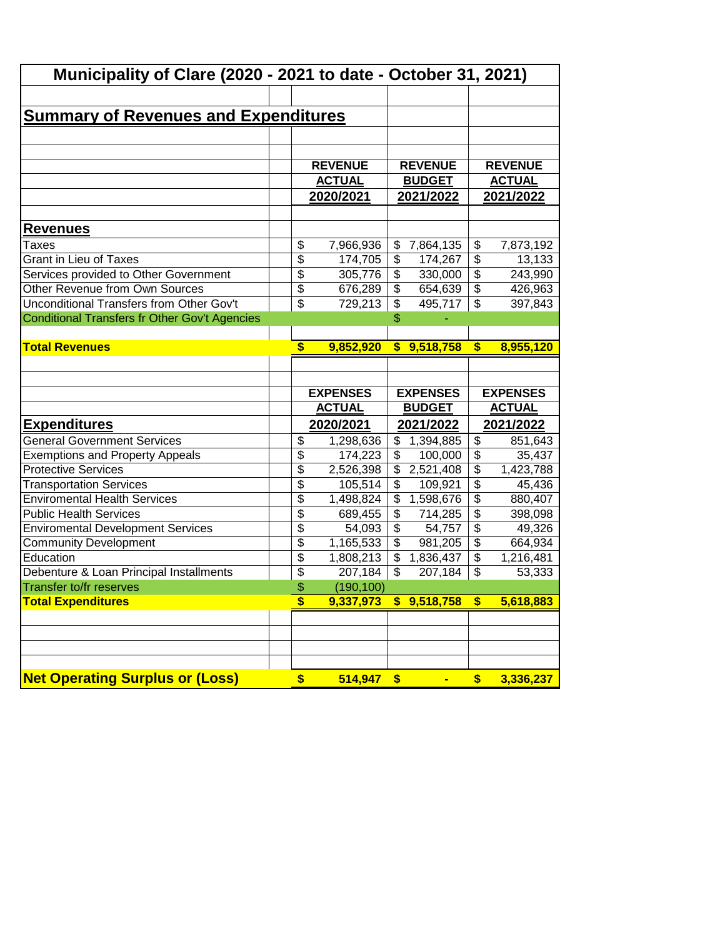| Municipality of Clare (2020 - 2021 to date - October 31, 2021) |                           |                 |                          |                 |                          |                 |
|----------------------------------------------------------------|---------------------------|-----------------|--------------------------|-----------------|--------------------------|-----------------|
|                                                                |                           |                 |                          |                 |                          |                 |
| <u>Summary of Revenues and Expenditures</u>                    |                           |                 |                          |                 |                          |                 |
|                                                                |                           |                 |                          |                 |                          |                 |
|                                                                |                           |                 |                          |                 |                          |                 |
|                                                                |                           | <b>REVENUE</b>  |                          | <b>REVENUE</b>  |                          | <b>REVENUE</b>  |
|                                                                |                           | <b>ACTUAL</b>   |                          | <b>BUDGET</b>   |                          | <b>ACTUAL</b>   |
|                                                                |                           | 2020/2021       |                          | 2021/2022       |                          | 2021/2022       |
| Revenues                                                       |                           |                 |                          |                 |                          |                 |
| Taxes                                                          | \$                        | 7,966,936       | \$                       | 7,864,135       | \$                       | 7,873,192       |
| <b>Grant in Lieu of Taxes</b>                                  | \$                        | 174,705         | \$                       | 174,267         | $\overline{\$}$          | 13,133          |
| Services provided to Other Government                          | \$                        | 305,776         | \$                       | 330,000         | $\overline{\$}$          | 243,990         |
| Other Revenue from Own Sources                                 | \$                        | 676,289         | \$                       | 654,639         | $\overline{\$}$          | 426,963         |
| Unconditional Transfers from Other Gov't                       | \$                        | 729,213         | $\overline{\mathcal{L}}$ | 495,717         | $\overline{\mathcal{L}}$ | 397,843         |
| Conditional Transfers fr Other Gov't Agencies                  |                           |                 | \$                       |                 |                          |                 |
|                                                                |                           |                 |                          |                 |                          |                 |
| <b>Total Revenues</b>                                          | \$                        | 9,852,920       | $\mathbf{s}$             | 9,518,758       | $\boldsymbol{\$}$        | 8,955,120       |
|                                                                |                           |                 |                          |                 |                          |                 |
|                                                                |                           |                 |                          |                 |                          |                 |
|                                                                |                           |                 |                          |                 |                          |                 |
|                                                                |                           | <b>EXPENSES</b> |                          | <b>EXPENSES</b> |                          | <b>EXPENSES</b> |
|                                                                |                           | <b>ACTUAL</b>   |                          | <b>BUDGET</b>   |                          | <b>ACTUAL</b>   |
| <u>Expenditures</u>                                            |                           | 2020/2021       |                          | 2021/2022       |                          | 2021/2022       |
| <b>General Government Services</b>                             | \$                        | 1,298,636       | \$                       | 1,394,885       | \$                       | 851,643         |
| <b>Exemptions and Property Appeals</b>                         | \$                        | 174,223         | \$                       | 100,000         | $\overline{\$}$          | 35,437          |
| <b>Protective Services</b>                                     | \$                        | 2,526,398       | \$                       | 2,521,408       | $\overline{\$}$          | 1,423,788       |
| <b>Transportation Services</b>                                 | $\overline{\$}$           | 105,514         | \$                       | 109,921         | $\overline{\mathcal{L}}$ | 45,436          |
| <b>Enviromental Health Services</b>                            | $\overline{\$}$           | 1,498,824       | $\overline{\mathcal{S}}$ | 1,598,676       | $\overline{\mathcal{L}}$ | 880,407         |
| <b>Public Health Services</b>                                  | $\overline{\$}$           | 689,455         | $\overline{\$}$          | 714,285         | $\overline{\$}$          | 398,098         |
| <b>Enviromental Development Services</b>                       | $\overline{\$}$           | 54,093          | $\overline{\$}$          | 54,757          | $\overline{\$}$          | 49,326          |
| <b>Community Development</b>                                   | $\overline{\mathfrak{s}}$ | 1,165,533       | \$                       | 981,205         | $\overline{\mathcal{L}}$ | 664,934         |
| Education                                                      | \$                        | 1,808,213       | \$                       | 1,836,437       | \$                       | 1,216,481       |
| Debenture & Loan Principal Installments                        | \$                        | 207,184         | \$                       | 207,184         | $\overline{\mathcal{L}}$ | 53,333          |
| Transfer to/fr reserves                                        | \$                        | (190, 100)      |                          |                 |                          |                 |
| <b>Total Expenditures</b>                                      | \$                        | 9,337,973       |                          | \$9,518,758     | \$                       | 5,618,883       |
|                                                                |                           |                 |                          |                 |                          |                 |
|                                                                |                           |                 |                          |                 |                          |                 |
|                                                                |                           |                 |                          |                 |                          |                 |
| <b>Net Operating Surplus or (Loss)</b>                         |                           | 514,947         |                          |                 |                          |                 |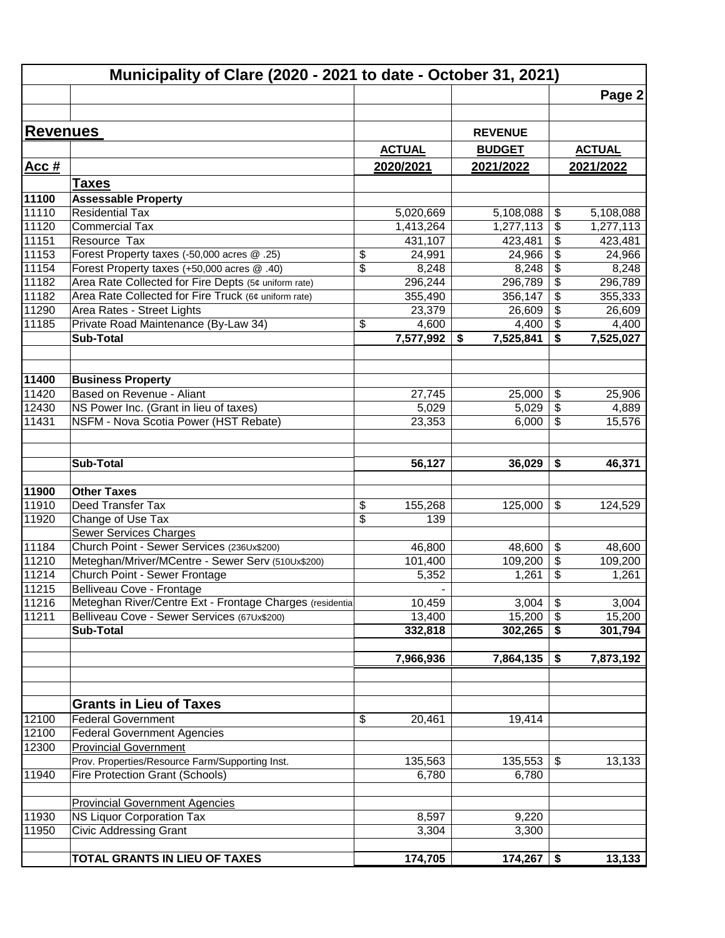|                 | Municipality of Clare (2020 - 2021 to date - October 31, 2021) |                          |                 |                                    |
|-----------------|----------------------------------------------------------------|--------------------------|-----------------|------------------------------------|
|                 |                                                                |                          |                 | Page 2                             |
|                 |                                                                |                          |                 |                                    |
| <b>Revenues</b> |                                                                |                          | <b>REVENUE</b>  |                                    |
|                 |                                                                | <b>ACTUAL</b>            | <b>BUDGET</b>   | <b>ACTUAL</b>                      |
| Acc#            |                                                                | 2020/2021                | 2021/2022       | 2021/2022                          |
|                 | <b>Taxes</b>                                                   |                          |                 |                                    |
| 11100           | <b>Assessable Property</b>                                     |                          |                 |                                    |
| 11110           | Residential Tax                                                | 5,020,669                | 5,108,088       | \$<br>5,108,088                    |
| 11120           | <b>Commercial Tax</b>                                          | 1,413,264                | 1,277,113       | \$<br>1,277,113                    |
| 11151           | Resource Tax                                                   | 431,107                  | 423,481         | $\overline{\$}$<br>423,481         |
| 11153           | Forest Property taxes (-50,000 acres @ .25)                    | \$<br>24,991             | 24,966          | \$<br>24,966                       |
| 11154           | Forest Property taxes (+50,000 acres @ .40)                    | \$<br>8,248              | 8,248           | \$<br>8,248                        |
| 11182           | Area Rate Collected for Fire Depts (5¢ uniform rate)           | 296,244                  | 296,789         | $\overline{\mathbf{e}}$<br>296,789 |
| 11182           | Area Rate Collected for Fire Truck (6¢ uniform rate)           | 355,490                  | 356,147         | \$<br>355,333                      |
| 11290           | Area Rates - Street Lights                                     | 23,379                   | 26,609          | \$<br>26,609                       |
| 11185           | Private Road Maintenance (By-Law 34)                           | \$<br>4,600              | 4,400           | \$<br>4,400                        |
|                 | <b>Sub-Total</b>                                               | 7,577,992                | 7,525,841<br>\$ | \$<br>7,525,027                    |
|                 |                                                                |                          |                 |                                    |
| 11400           | <b>Business Property</b>                                       |                          |                 |                                    |
| 11420           | Based on Revenue - Aliant                                      | 27,745                   | 25,000          | \$<br>25,906                       |
| 12430           | NS Power Inc. (Grant in lieu of taxes)                         | 5,029                    | 5,029           | \$<br>4,889                        |
| 11431           | NSFM - Nova Scotia Power (HST Rebate)                          | 23,353                   | 6,000           | \$<br>15,576                       |
|                 |                                                                |                          |                 |                                    |
|                 | Sub-Total                                                      | 56,127                   | 36,029          | \$<br>46,371                       |
|                 |                                                                |                          |                 |                                    |
| 11900           | <b>Other Taxes</b>                                             |                          |                 |                                    |
| 11910           | Deed Transfer Tax                                              | \$<br>155,268            | 125,000         | \$<br>124,529                      |
| 11920           | Change of Use Tax                                              | \$<br>139                |                 |                                    |
|                 | <b>Sewer Services Charges</b>                                  |                          |                 |                                    |
| 11184           | Church Point - Sewer Services (236Ux\$200)                     | 46,800                   | 48,600          | \$<br>48,600                       |
| 11210           | Meteghan/Mriver/MCentre - Sewer Serv (510Ux\$200)              | 101,400                  | 109,200         | \$<br>109,200                      |
| 11214           | Church Point - Sewer Frontage                                  | 5,352                    | 1,261           | \$<br>1,261                        |
| 11215           | Belliveau Cove - Frontage                                      | $\overline{\phantom{0}}$ |                 |                                    |
| 11216           | Meteghan River/Centre Ext - Frontage Charges (residential      | 10,459                   | 3,004           | $\overline{\mathbf{G}}$<br>3,004   |
| 11211           | Belliveau Cove - Sewer Services (67Ux\$200)                    | 13,400                   | 15,200          | \$<br>15,200                       |
|                 | <b>Sub-Total</b>                                               | 332,818                  | 302,265         | \$<br>301,794                      |
|                 |                                                                | 7,966,936                | 7,864,135       | 7,873,192<br>\$                    |
|                 |                                                                |                          |                 |                                    |
|                 |                                                                |                          |                 |                                    |
|                 | <b>Grants in Lieu of Taxes</b>                                 |                          |                 |                                    |
| 12100           | <b>Federal Government</b>                                      | \$<br>20,461             | 19,414          |                                    |
| 12100           | <b>Federal Government Agencies</b>                             |                          |                 |                                    |
| 12300           | <b>Provincial Government</b>                                   |                          |                 |                                    |
|                 | Prov. Properties/Resource Farm/Supporting Inst.                | 135,563                  | 135,553         | 13,133<br>\$                       |
| 11940           | Fire Protection Grant (Schools)                                | 6,780                    | 6,780           |                                    |
|                 | <b>Provincial Government Agencies</b>                          |                          |                 |                                    |
| 11930           | NS Liquor Corporation Tax                                      | 8,597                    | 9,220           |                                    |
| 11950           | <b>Civic Addressing Grant</b>                                  | 3,304                    | 3,300           |                                    |
|                 |                                                                |                          |                 |                                    |
|                 | <b>TOTAL GRANTS IN LIEU OF TAXES</b>                           | 174,705                  | 174,267         | 13,133<br>\$                       |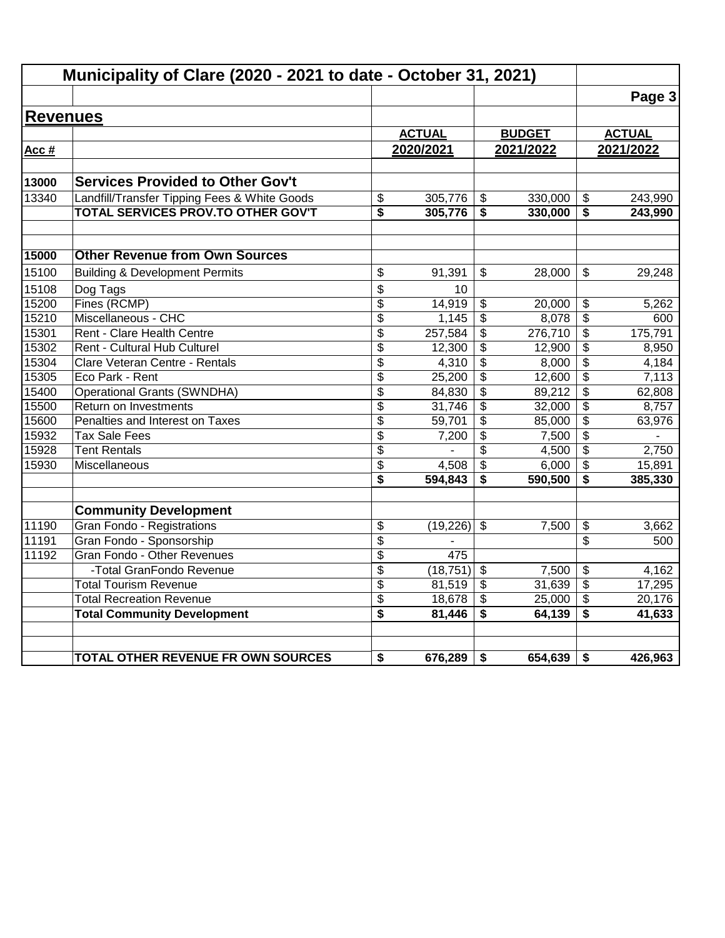|                 | Municipality of Clare (2020 - 2021 to date - October 31, 2021) |                 |               |                           |               |                                      |               |
|-----------------|----------------------------------------------------------------|-----------------|---------------|---------------------------|---------------|--------------------------------------|---------------|
|                 |                                                                |                 |               |                           |               |                                      | Page 3        |
| <b>Revenues</b> |                                                                |                 |               |                           |               |                                      |               |
|                 |                                                                |                 | <b>ACTUAL</b> |                           | <b>BUDGET</b> |                                      | <b>ACTUAL</b> |
| Acc #           |                                                                |                 | 2020/2021     |                           | 2021/2022     |                                      | 2021/2022     |
|                 |                                                                |                 |               |                           |               |                                      |               |
| 13000           | <b>Services Provided to Other Gov't</b>                        |                 |               |                           |               |                                      |               |
| 13340           | Landfill/Transfer Tipping Fees & White Goods                   | \$              | 305,776       | \$                        | 330,000       | $\boldsymbol{\mathsf{\$}}$           | 243,990       |
|                 | TOTAL SERVICES PROV.TO OTHER GOV'T                             | \$              | 305,776       | \$                        | 330,000       | \$                                   | 243,990       |
| 15000           | <b>Other Revenue from Own Sources</b>                          |                 |               |                           |               |                                      |               |
| 15100           | <b>Building &amp; Development Permits</b>                      | \$              | 91,391        | \$                        | 28,000        | $\mathbb{S}$                         | 29,248        |
| 15108           | Dog Tags                                                       | \$              | 10            |                           |               |                                      |               |
| 15200           | Fines (RCMP)                                                   | \$              | 14,919        | \$                        | 20,000        | \$                                   | 5,262         |
| 15210           | Miscellaneous - CHC                                            | $\overline{\$}$ | 1,145         | $\overline{\mathfrak{s}}$ | 8,078         | $\overline{\$}$                      | 600           |
| 15301           | Rent - Clare Health Centre                                     | \$              | 257,584       | $\overline{\mathbf{e}}$   | 276,710       | \$                                   | 175,791       |
| 15302           | Rent - Cultural Hub Culturel                                   | \$              | 12,300        | \$                        | 12,900        | \$                                   | 8,950         |
| 15304           | Clare Veteran Centre - Rentals                                 | \$              | 4,310         | $\overline{\mathbf{3}}$   | 8,000         | $\overline{\boldsymbol{\mathsf{s}}}$ | 4,184         |
| 15305           | Eco Park - Rent                                                | \$              | 25,200        | \$                        | 12,600        | $\overline{\mathcal{S}}$             | 7,113         |
| 15400           | <b>Operational Grants (SWNDHA)</b>                             | \$              | 84,830        | $\overline{\mathbf{3}}$   | 89,212        | \$                                   | 62,808        |
| 15500           | Return on Investments                                          | $\overline{\$}$ | 31,746        | $\overline{\mathbf{3}}$   | 32,000        | $\overline{\boldsymbol{\mathsf{s}}}$ | 8,757         |
| 15600           | Penalties and Interest on Taxes                                | \$              | 59,701        | \$                        | 85,000        | \$                                   | 63,976        |
| 15932           | <b>Tax Sale Fees</b>                                           | \$              | 7,200         | \$                        | 7,500         | $\frac{1}{2}$                        |               |
| 15928           | <b>Tent Rentals</b>                                            | \$              |               | \$                        | 4,500         | \$                                   | 2,750         |
| 15930           | Miscellaneous                                                  | \$              | 4,508         | $\overline{\mathbf{3}}$   | 6,000         | \$                                   | 15,891        |
|                 |                                                                | \$              | 594,843       | \$                        | 590,500       | \$                                   | 385,330       |
|                 | <b>Community Development</b>                                   |                 |               |                           |               |                                      |               |
| 11190           | Gran Fondo - Registrations                                     | \$              | (19,226)      | $\mathfrak{S}$            | 7,500         | \$                                   | 3,662         |
| 11191           | Gran Fondo - Sponsorship                                       | \$              |               |                           |               | \$                                   | 500           |
| 11192           | Gran Fondo - Other Revenues                                    | \$              | 475           |                           |               |                                      |               |
|                 | -Total GranFondo Revenue                                       | \$              | (18, 751)     | $\overline{\mathbf{s}}$   | 7,500         | \$                                   | 4,162         |
|                 | <b>Total Tourism Revenue</b>                                   | \$              | 81,519        | \$                        | 31,639        | \$                                   | 17,295        |
|                 | <b>Total Recreation Revenue</b>                                | \$              | 18,678        | \$                        | 25,000        | $\overline{\mathbf{e}}$              | 20,176        |
|                 | <b>Total Community Development</b>                             | \$              | 81,446        | \$                        | 64,139        | \$                                   | 41,633        |
|                 | TOTAL OTHER REVENUE FR OWN SOURCES                             | \$              | 676,289       | \$                        | 654,639       | \$                                   | 426,963       |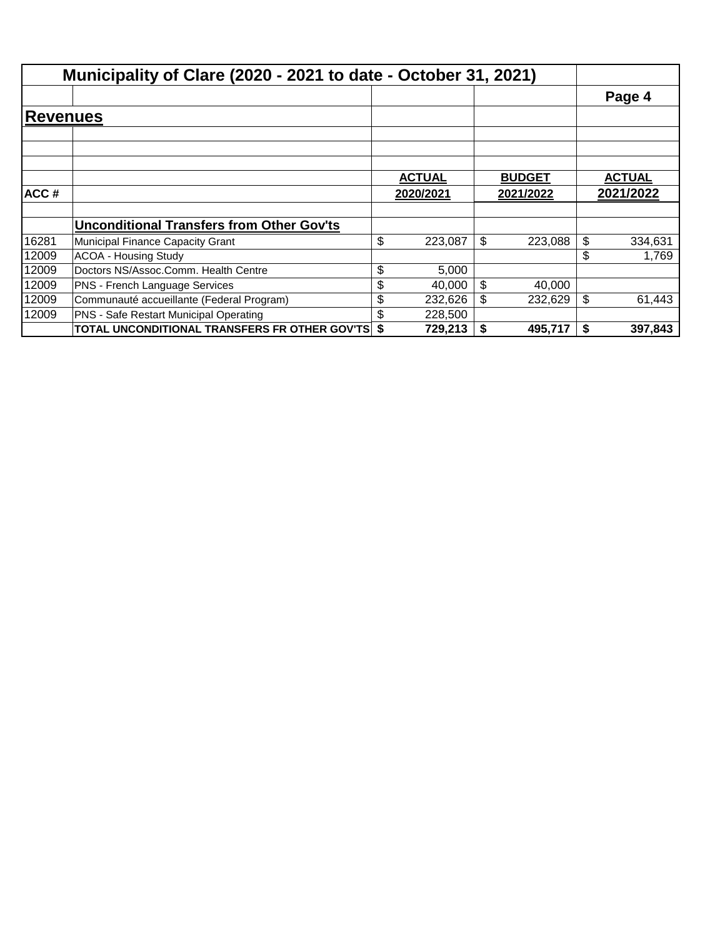|                 | Municipality of Clare (2020 - 2021 to date - October 31, 2021) |     |               |    |               |               |
|-----------------|----------------------------------------------------------------|-----|---------------|----|---------------|---------------|
|                 |                                                                |     |               |    |               | Page 4        |
| <b>Revenues</b> |                                                                |     |               |    |               |               |
|                 |                                                                |     |               |    |               |               |
|                 |                                                                |     | <b>ACTUAL</b> |    | <b>BUDGET</b> | <b>ACTUAL</b> |
| ACC#            |                                                                |     | 2020/2021     |    | 2021/2022     | 2021/2022     |
|                 | <b>Unconditional Transfers from Other Gov'ts</b>               |     |               |    |               |               |
| 16281           | Municipal Finance Capacity Grant                               | \$  | 223,087       | \$ | 223,088       | \$<br>334,631 |
| 12009           | <b>ACOA - Housing Study</b>                                    |     |               |    |               | \$<br>1,769   |
| 12009           | Doctors NS/Assoc.Comm. Health Centre                           | \$  | 5,000         |    |               |               |
| 12009           | PNS - French Language Services                                 | \$  | 40,000        | \$ | 40,000        |               |
| 12009           | Communauté accueillante (Federal Program)                      | \$  | 232,626       | \$ | 232,629       | \$<br>61,443  |
| 12009           | PNS - Safe Restart Municipal Operating                         | \$. | 228,500       |    |               |               |
|                 | TOTAL UNCONDITIONAL TRANSFERS FR OTHER GOV'TS                  | \$  | 729,213       | S  | 495,717       | \$<br>397,843 |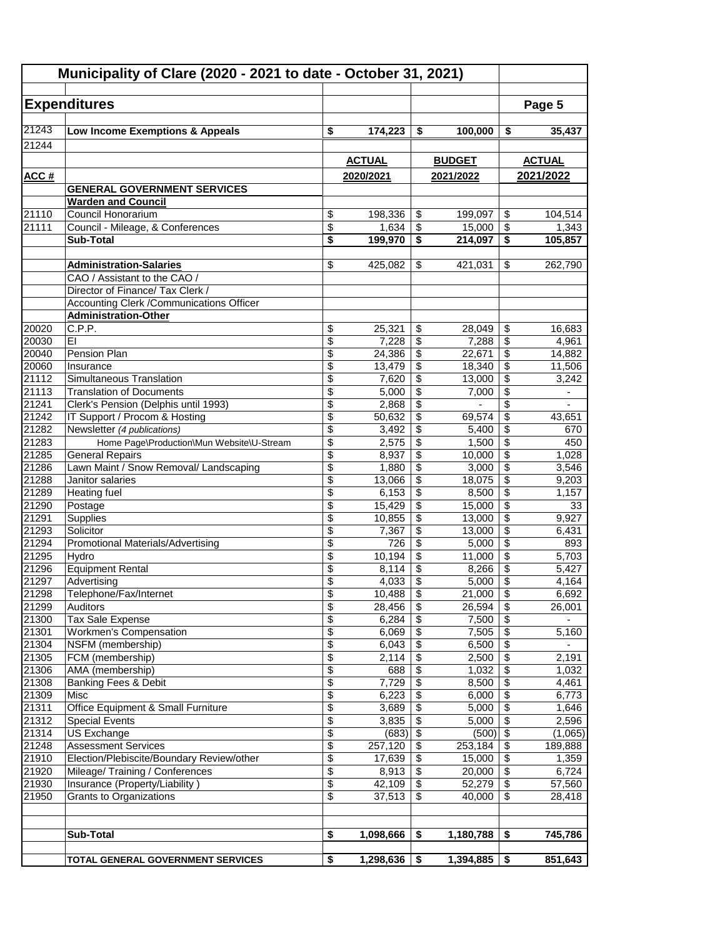|                | Municipality of Clare (2020 - 2021 to date - October 31, 2021)  |                          |                |                               |                     |                                            |                          |
|----------------|-----------------------------------------------------------------|--------------------------|----------------|-------------------------------|---------------------|--------------------------------------------|--------------------------|
|                | <b>Expenditures</b>                                             |                          |                |                               |                     |                                            | Page 5                   |
| 21243          | Low Income Exemptions & Appeals                                 | \$                       | 174,223        | \$                            | 100,000             | \$                                         | 35,437                   |
| 21244          |                                                                 |                          |                |                               |                     |                                            |                          |
|                |                                                                 |                          | <b>ACTUAL</b>  |                               | <b>BUDGET</b>       |                                            | <b>ACTUAL</b>            |
| ACC #          |                                                                 |                          | 2020/2021      |                               | 2021/2022           |                                            | 2021/2022                |
|                | <b>GENERAL GOVERNMENT SERVICES</b><br><b>Warden and Council</b> |                          |                |                               |                     |                                            |                          |
| 21110          | Council Honorarium                                              | \$                       | 198,336        | \$                            | 199,097             | $\sqrt[6]{\frac{1}{2}}$                    | 104,514                  |
| 21111          | Council - Mileage, & Conferences                                | $\overline{\$}$          | 1,634          | $\overline{\mathcal{S}}$      | 15,000              | $\overline{\mathcal{S}}$                   | 1,343                    |
|                | <b>Sub-Total</b>                                                | \$                       | 199,970        | \$                            | 214,097             | \$                                         | 105,857                  |
|                |                                                                 |                          |                |                               |                     |                                            |                          |
|                | <b>Administration-Salaries</b>                                  | \$                       | 425,082        | \$                            | 421,031             | \$                                         | 262,790                  |
|                | CAO / Assistant to the CAO /                                    |                          |                |                               |                     |                                            |                          |
|                | Director of Finance/ Tax Clerk /                                |                          |                |                               |                     |                                            |                          |
|                | Accounting Clerk / Communications Officer                       |                          |                |                               |                     |                                            |                          |
|                | <b>Administration-Other</b>                                     |                          |                |                               |                     |                                            |                          |
| 20020          | C.P.P.                                                          | \$                       | 25,321         | \$                            | 28,049              | \$                                         | 16,683                   |
| 20030          | EI                                                              | \$                       | 7,228          | $\overline{\mathbf{3}}$       | 7,288               | $\overline{\$}$                            | 4,961                    |
| 20040          | Pension Plan                                                    | \$                       | 24,386         | \$                            | 22,671              | $\overline{\mathcal{L}}$                   | 14,882                   |
| 20060          | Insurance                                                       | \$                       | 13,479         | \$                            | 18,340              | $\overline{\mathbf{s}}$                    | 11,506                   |
| 21112          | Simultaneous Translation                                        | \$                       | 7,620          | \$                            | 13,000              | \$                                         | 3,242                    |
| 21113          | <b>Translation of Documents</b>                                 | \$                       | 5,000          | \$                            | 7,000               | \$                                         | ٠                        |
| 21241          | Clerk's Pension (Delphis until 1993)                            | \$                       | 2,868          | \$                            |                     | \$                                         |                          |
| 21242          | IT Support / Procom & Hosting                                   | \$                       | 50,632         | \$                            | 69,574              | \$                                         | 43,651                   |
| 21282          | Newsletter (4 publications)                                     | \$                       | 3,492          | $\sqrt{2}$                    | 5,400               | \$                                         | 670                      |
| 21283          | Home Page\Production\Mun Website\U-Stream                       | \$                       | 2,575          | \$                            | 1,500               | \$                                         | 450                      |
| 21285          | <b>General Repairs</b>                                          | \$                       | 8,937          | \$                            | 10,000              | \$                                         | 1,028                    |
| 21286          | Lawn Maint / Snow Removal/ Landscaping                          | \$                       | 1,880          | \$                            | 3,000               | $\overline{\boldsymbol{\mathsf{s}}}$       | 3,546                    |
| 21288          | Janitor salaries                                                | \$                       | 13,066         | \$                            | 18,075              | \$                                         | 9,203                    |
| 21289          | <b>Heating fuel</b>                                             | \$                       | 6,153          | \$                            | 8,500               | \$                                         | 1,157                    |
| 21290          | Postage                                                         | \$                       | 15,429         | \$                            | 15,000              | \$                                         | 33                       |
| 21291          | Supplies                                                        | $\overline{\$}$          | 10,855         | \$                            | 13,000              | $\overline{\$}$                            | 9,927                    |
| 21293          | Solicitor                                                       | \$                       | 7,367          | \$                            | 13,000              | \$                                         | 6,431                    |
| 21294          | Promotional Materials/Advertising                               | \$                       | 726            | \$                            | 5,000               | \$                                         | 893                      |
| 21295          | Hydro                                                           | \$                       | 10,194         | \$                            | 11,000              | \$                                         | 5,703                    |
| 21296          | <b>Equipment Rental</b>                                         | \$                       | 8,114          | \$                            | 8,266               | $\overline{\$}$                            | 5,427                    |
| 21297          | Advertising                                                     | \$                       | 4,033          | \$                            | 5,000               | $\overline{\boldsymbol{\mathsf{s}}}$       | 4,164                    |
| 21298          | Telephone/Fax/Internet                                          | \$                       | $10,488$ \$    |                               | 21,000              | $\overline{\mathcal{E}}$                   | 6,692                    |
| 21299          | <b>Auditors</b>                                                 | \$                       |                |                               | 26,594              | $\boldsymbol{\mathsf{\$}}$                 | 26,001                   |
| 21300          | Tax Sale Expense                                                | \$                       |                |                               | 7,500               | \$                                         | $\sim$                   |
| 21301          | <b>Workmen's Compensation</b>                                   | \$                       | 6,069          | $\sqrt[6]{3}$                 | 7,505               | $\overline{\mathbf{3}}$                    | 5,160                    |
| 21304          | NSFM (membership)                                               | \$                       | 6,043          | \$                            | 6,500               | $\sqrt[6]{\frac{1}{2}}$                    | $\overline{\phantom{0}}$ |
| 21305          | FCM (membership)                                                | \$                       | 2,114          | $\sqrt[6]{3}$                 | 2,500               | \$                                         | 2,191                    |
| 21306          | AMA (membership)                                                | \$                       | 688            | \$                            | 1,032               | $\sqrt[6]{\frac{1}{2}}$                    | 1,032                    |
| 21308          | Banking Fees & Debit                                            | $\overline{\mathcal{E}}$ | 7,729          | $\sqrt[6]{3}$                 | 8,500               | $\sqrt[6]{\frac{1}{2}}$                    | 4,461                    |
| 21309          | Misc<br>Office Equipment & Small Furniture                      | \$<br>\$                 | 6,223          | $\sqrt[6]{\frac{1}{2}}$       | 6,000               | $\overline{\$}$<br>$\overline{\mathbf{3}}$ | 6,773                    |
| 21311          |                                                                 |                          | 3,689          | \$                            | 5,000               | $\overline{\$}$                            | 1,646                    |
| 21312<br>21314 | <b>Special Events</b><br>US Exchange                            | \$<br>\$                 | 3,835<br>(683) | $\sqrt[6]{\frac{1}{2}}$<br>\$ | 5,000<br>$(500)$ \$ |                                            | 2,596<br>(1,065)         |
| 21248          | <b>Assessment Services</b>                                      | \$                       | 257,120        | $\sqrt[6]{\frac{1}{2}}$       | 253,184             | $\sqrt[6]{\frac{1}{2}}$                    | 189,888                  |
| 21910          | Election/Plebiscite/Boundary Review/other                       | \$                       | 17,639         | \$                            | 15,000              | $\sqrt[6]{\frac{1}{2}}$                    | 1,359                    |
| 21920          | Mileage/ Training / Conferences                                 | \$                       | 8,913          | \$                            | 20,000              | \$                                         | 6,724                    |
| 21930          | Insurance (Property/Liability)                                  | \$                       | 42,109         | \$                            | 52,279              | $\boldsymbol{\mathsf{\$}}$                 | 57,560                   |
| 21950          | Grants to Organizations                                         | \$                       | 37,513         | \$                            | 40,000              | \$                                         | 28,418                   |
|                |                                                                 |                          |                |                               |                     |                                            |                          |
|                |                                                                 |                          |                |                               |                     |                                            |                          |
|                | Sub-Total                                                       | \$                       | 1,098,666      | S.                            | 1,180,788           | \$                                         | 745,786                  |
|                |                                                                 |                          |                |                               |                     |                                            |                          |
|                | TOTAL GENERAL GOVERNMENT SERVICES                               | \$                       | 1,298,636      | - \$                          | 1,394,885           | \$                                         | 851,643                  |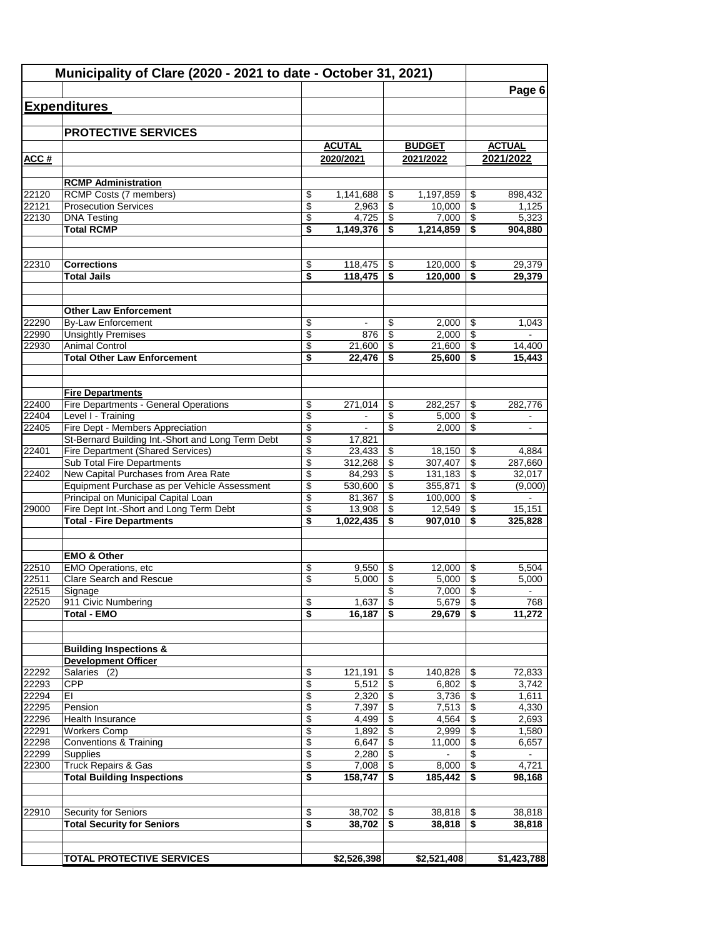|                | Municipality of Clare (2020 - 2021 to date - October 31, 2021)                 |                             |                  |          |                   |                                  |                  |
|----------------|--------------------------------------------------------------------------------|-----------------------------|------------------|----------|-------------------|----------------------------------|------------------|
|                |                                                                                |                             |                  |          |                   |                                  | Page 6           |
|                | <b>Expenditures</b>                                                            |                             |                  |          |                   |                                  |                  |
|                | <b>PROTECTIVE SERVICES</b>                                                     |                             |                  |          |                   |                                  |                  |
|                |                                                                                |                             | <b>ACUTAL</b>    |          | <b>BUDGET</b>     |                                  | <b>ACTUAL</b>    |
| ACC#           |                                                                                |                             | 2020/2021        |          | 2021/2022         |                                  | 2021/2022        |
|                | <b>RCMP Administration</b>                                                     |                             |                  |          |                   |                                  |                  |
| 22120          | RCMP Costs (7 members)                                                         | \$                          | 1,141,688        | \$       | 1,197,859         | \$                               | 898,432          |
| 22121          | <b>Prosecution Services</b>                                                    | \$                          | 2,963            | \$       | 10,000            | \$                               | 1,125            |
| 22130          | <b>DNA Testing</b>                                                             | \$                          | 4,725            | \$       | 7,000             | \$                               | 5,323            |
|                | <b>Total RCMP</b>                                                              | \$                          | 1,149,376        | \$       | 1,214,859         | \$                               | 904,880          |
| 22310          | <b>Corrections</b>                                                             | \$                          | 118,475          | \$       | 120,000           | \$                               | 29,379           |
|                | <b>Total Jails</b>                                                             | \$                          | 118,475          | \$       | 120,000           | \$                               | 29,379           |
|                |                                                                                |                             |                  |          |                   |                                  |                  |
|                | <b>Other Law Enforcement</b>                                                   |                             |                  |          |                   |                                  |                  |
| 22290          | <b>By-Law Enforcement</b>                                                      | \$                          | $\blacksquare$   | \$       | 2,000             | \$                               | 1,043            |
| 22990          | <b>Unsightly Premises</b>                                                      | \$                          | 876              | \$       | 2,000             | \$                               |                  |
| 22930          | <b>Animal Control</b>                                                          | \$                          | 21,600           | \$       | 21,600            | \$                               | 14,400           |
|                | <b>Total Other Law Enforcement</b>                                             | \$                          | 22.476           | \$       | 25,600            | \$                               | 15,443           |
|                | <b>Fire Departments</b>                                                        |                             |                  |          |                   |                                  |                  |
| 22400          | Fire Departments - General Operations                                          | \$                          | 271,014          | \$       | 282.257           | \$                               | 282,776          |
| 22404          | Level I - Training                                                             | \$                          | $\blacksquare$   | \$       | 5,000             | \$                               | $\blacksquare$   |
| 22405          | Fire Dept - Members Appreciation                                               | \$                          | $\blacksquare$   | \$       | 2,000             | \$                               | $\mathbf{r}$     |
|                | St-Bernard Building Int.-Short and Long Term Debt                              | \$                          | 17,821           |          |                   |                                  |                  |
| 22401          | <b>Fire Department (Shared Services)</b>                                       | \$                          | 23,433           | \$       | 18,150            | \$                               | 4,884            |
|                | Sub Total Fire Departments                                                     | \$                          | 312,268          | \$       | 307,407           | \$                               | 287,660          |
| 22402          | New Capital Purchases from Area Rate                                           | \$                          | 84,293           | \$       | 131,183           | \$                               | 32,017           |
|                | Equipment Purchase as per Vehicle Assessment                                   | \$                          | 530,600          | \$       | 355,871           | \$                               | (9,000)          |
| 29000          | Principal on Municipal Capital Loan<br>Fire Dept Int.-Short and Long Term Debt | \$<br>\$                    | 81,367<br>13,908 | \$<br>\$ | 100,000<br>12,549 | $\overline{\$}$<br>\$            | 15,151           |
|                | <b>Total - Fire Departments</b>                                                | \$                          | 1,022,435        | \$       | 907,010           | \$                               | 325,828          |
|                |                                                                                |                             |                  |          |                   |                                  |                  |
|                | <b>EMO &amp; Other</b>                                                         |                             |                  |          |                   |                                  |                  |
| 22510          | EMO Operations, etc                                                            | \$                          | 9,550            | \$       | 12,000            | \$                               | 5,504            |
| 22511          | <b>Clare Search and Rescue</b>                                                 | \$                          | 5,000            | \$       | 5,000             | \$                               | 5,000            |
| 22515          | Signage                                                                        |                             |                  | \$       | 7,000             | $\overline{\mathcal{S}}$         | $\blacksquare$   |
| 22520          | 911 Civic Numbering<br><b>Total - EMO</b>                                      | $\boldsymbol{\theta}$<br>\$ | 1,637            | \$<br>\$ | $5,679$   \$      | \$                               | 768              |
|                |                                                                                |                             | 16,187           |          | 29,679            |                                  | 11,272           |
|                | <b>Building Inspections &amp;</b>                                              |                             |                  |          |                   |                                  |                  |
|                | <b>Development Officer</b>                                                     |                             |                  |          |                   |                                  |                  |
| 22292          | Salaries (2)                                                                   | $\overline{\mathbf{e}}$     | 121,191          | \$       | 140,828           | \$                               | 72,833           |
| 22293          | <b>CPP</b>                                                                     | \$                          | 5,512            | \$       | 6,802             | \$                               | 3,742            |
| 22294          | ΕI                                                                             | \$                          | 2,320            | \$       | 3,736             | $\overline{\$}$                  | 1,611            |
| 22295          | Pension<br>Health Insurance                                                    | \$                          | 7,397            | \$       | 7,513             | $\boldsymbol{\theta}$            | 4,330            |
| 22296<br>22291 | <b>Workers Comp</b>                                                            | \$<br>\$                    | 4,499<br>1,892   | \$<br>\$ | 4,564<br>2,999    | \$<br>$\overline{\mathcal{L}}$   | 2,693<br>1,580   |
| 22298          | <b>Conventions &amp; Training</b>                                              | \$                          | 6,647            | \$       | 11,000            | $\overline{\$}$                  | 6,657            |
| 22299          | <b>Supplies</b>                                                                | \$                          | 2,280            | \$       | $\blacksquare$    | \$                               | $\sim$           |
| 22300          | <b>Truck Repairs &amp; Gas</b>                                                 | \$                          | 7,008            | \$       | 8,000             | $\overline{\boldsymbol{\theta}}$ | 4,721            |
|                | <b>Total Building Inspections</b>                                              | \$                          | 158,747          | \$       | 185,442           | \$                               | 98,168           |
|                |                                                                                |                             |                  |          |                   |                                  |                  |
| 22910          | Security for Seniors<br><b>Total Security for Seniors</b>                      | \$<br>\$                    | 38,702<br>38,702 | \$<br>\$ | 38,818<br>38,818  | \$<br>\$                         | 38,818<br>38,818 |
|                |                                                                                |                             |                  |          |                   |                                  |                  |
|                | <b>TOTAL PROTECTIVE SERVICES</b>                                               |                             | \$2,526,398      |          | \$2,521,408       |                                  | \$1,423,788      |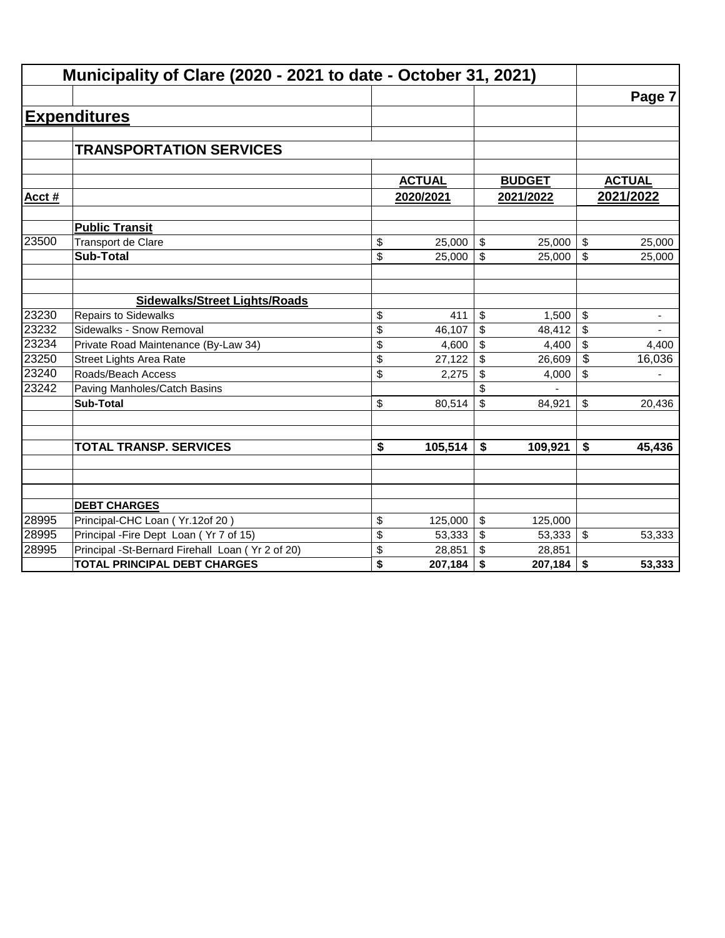|        | Municipality of Clare (2020 - 2021 to date - October 31, 2021) |               |              |               |                           |                          |
|--------|----------------------------------------------------------------|---------------|--------------|---------------|---------------------------|--------------------------|
|        |                                                                |               |              |               |                           | Page 7                   |
|        | <b>Expenditures</b>                                            |               |              |               |                           |                          |
|        |                                                                |               |              |               |                           |                          |
|        | <b>TRANSPORTATION SERVICES</b>                                 |               |              |               |                           |                          |
|        |                                                                |               |              |               |                           |                          |
|        |                                                                | <b>ACTUAL</b> |              | <b>BUDGET</b> |                           | <b>ACTUAL</b>            |
| Acct # |                                                                | 2020/2021     |              | 2021/2022     |                           | 2021/2022                |
|        | <b>Public Transit</b>                                          |               |              |               |                           |                          |
| 23500  | Transport de Clare                                             | \$<br>25,000  | \$           | 25,000        | $\frac{1}{2}$             | 25,000                   |
|        | <b>Sub-Total</b>                                               | \$<br>25,000  | $\mathbb{S}$ | 25,000        | \$                        | 25,000                   |
|        |                                                                |               |              |               |                           |                          |
|        | <b>Sidewalks/Street Lights/Roads</b>                           |               |              |               |                           |                          |
| 23230  | <b>Repairs to Sidewalks</b>                                    | \$<br>411     | \$           | 1,500         | \$                        | $\overline{\phantom{a}}$ |
| 23232  | Sidewalks - Snow Removal                                       | \$<br>46,107  | \$           | 48,412        | \$                        |                          |
| 23234  | Private Road Maintenance (By-Law 34)                           | \$<br>4,600   | \$           | 4,400         | \$                        | 4,400                    |
| 23250  | <b>Street Lights Area Rate</b>                                 | \$<br>27,122  | \$           | 26,609        | $\sqrt[6]{\frac{1}{2}}$   | 16,036                   |
| 23240  | Roads/Beach Access                                             | \$<br>2,275   | \$           | 4,000         | \$                        |                          |
| 23242  | Paving Manholes/Catch Basins                                   |               |              |               |                           |                          |
|        | <b>Sub-Total</b>                                               | \$<br>80,514  | \$           | 84,921        | \$                        | 20,436                   |
|        |                                                                |               |              |               |                           |                          |
|        | <b>TOTAL TRANSP. SERVICES</b>                                  | \$<br>105,514 | \$           | 109,921       | \$                        | 45,436                   |
|        |                                                                |               |              |               |                           |                          |
|        |                                                                |               |              |               |                           |                          |
|        | <b>DEBT CHARGES</b>                                            |               |              |               |                           |                          |
| 28995  | Principal-CHC Loan (Yr.12of 20)                                | \$<br>125,000 | \$           | 125,000       |                           |                          |
| 28995  | Principal - Fire Dept Loan (Yr 7 of 15)                        | \$<br>53,333  | \$           | 53,333        | $\boldsymbol{\mathsf{S}}$ | 53,333                   |
| 28995  | Principal -St-Bernard Firehall Loan (Yr 2 of 20)               | \$<br>28,851  | \$           | 28,851        |                           |                          |
|        | <b>TOTAL PRINCIPAL DEBT CHARGES</b>                            | \$<br>207,184 | \$           | 207,184       | \$                        | 53,333                   |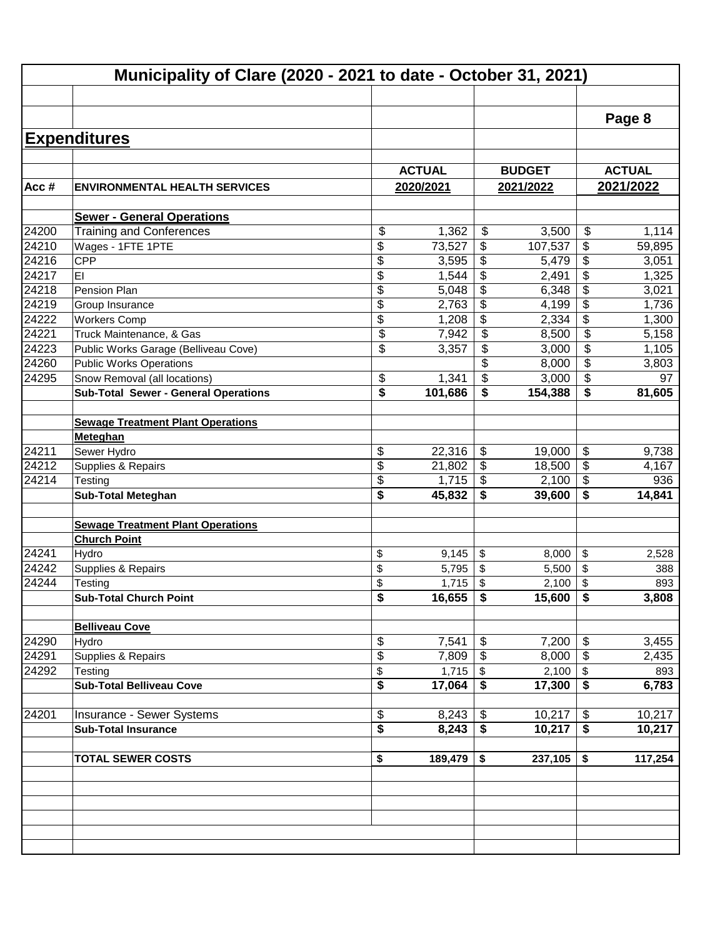|       | Municipality of Clare (2020 - 2021 to date - October 31, 2021)  |          |                |          |                 |                                        |               |
|-------|-----------------------------------------------------------------|----------|----------------|----------|-----------------|----------------------------------------|---------------|
|       |                                                                 |          |                |          |                 |                                        |               |
|       |                                                                 |          |                |          |                 |                                        | Page 8        |
|       |                                                                 |          |                |          |                 |                                        |               |
|       | <b>Expenditures</b>                                             |          |                |          |                 |                                        |               |
|       |                                                                 |          | <b>ACTUAL</b>  |          | <b>BUDGET</b>   |                                        | <b>ACTUAL</b> |
| Acc#  | <b>ENVIRONMENTAL HEALTH SERVICES</b>                            |          | 2020/2021      |          | 2021/2022       |                                        | 2021/2022     |
|       |                                                                 |          |                |          |                 |                                        |               |
|       | <b>Sewer - General Operations</b>                               |          |                |          |                 |                                        |               |
| 24200 | <b>Training and Conferences</b>                                 | \$       | 1,362          | \$       | 3,500           | \$                                     | 1,114         |
| 24210 | Wages - 1FTE 1PTE                                               | \$       | 73,527         | \$       | 107,537         | \$                                     | 59,895        |
| 24216 | <b>CPP</b>                                                      | \$       | 3,595          | \$       | 5,479           | \$                                     | 3,051         |
| 24217 | EI                                                              | \$       | 1,544          | \$       | 2,491           | \$                                     | 1,325         |
| 24218 | Pension Plan                                                    | \$       | 5,048          | \$       | 6,348           | \$                                     | 3,021         |
| 24219 | Group Insurance                                                 | \$       | 2,763          | \$       | 4,199           | \$                                     | 1,736         |
| 24222 | <b>Workers Comp</b>                                             | \$       | 1,208          | \$       | 2,334           | \$                                     | 1,300         |
| 24221 | Truck Maintenance, & Gas                                        | \$       | 7,942          | \$       | 8,500           | \$                                     | 5,158         |
| 24223 | Public Works Garage (Belliveau Cove)                            | \$       | 3,357          | \$       | 3,000           | \$                                     | 1,105         |
| 24260 | <b>Public Works Operations</b>                                  |          |                | \$       | 8,000           | \$                                     | 3,803         |
| 24295 | Snow Removal (all locations)                                    | \$       | 1,341          | \$       | 3,000           | \$                                     | 97            |
|       | <b>Sub-Total Sewer - General Operations</b>                     | \$       | 101,686        | \$       | 154,388         | \$                                     | 81,605        |
|       |                                                                 |          |                |          |                 |                                        |               |
|       | <b>Sewage Treatment Plant Operations</b>                        |          |                |          |                 |                                        |               |
|       | <b>Meteghan</b>                                                 |          |                |          |                 |                                        |               |
| 24211 | Sewer Hydro                                                     | \$       | 22,316         | \$       | 19,000          | \$                                     | 9,738         |
| 24212 | Supplies & Repairs                                              | \$       | 21,802         | \$       | 18,500          | \$                                     | 4,167         |
| 24214 | Testing                                                         | \$       | 1,715          | \$       | 2,100           | \$                                     | 936           |
|       | <b>Sub-Total Meteghan</b>                                       | \$       | 45,832         | \$       | 39,600          | \$                                     | 14,841        |
|       |                                                                 |          |                |          |                 |                                        |               |
|       | <b>Sewage Treatment Plant Operations</b><br><b>Church Point</b> |          |                |          |                 |                                        |               |
| 24241 |                                                                 |          |                |          |                 |                                        |               |
| 24242 | Hydro<br>Supplies & Repairs                                     | \$<br>\$ | 9,145<br>5,795 | \$<br>\$ | 8,000<br>5,500  | \$<br>\$                               | 2,528<br>388  |
| 24244 |                                                                 | \$       | 1,715          | \$       |                 | \$                                     | 893           |
|       | Testing                                                         |          | 16,655         |          | 2,100<br>15,600 |                                        | 3,808         |
|       | <b>Sub-Total Church Point</b>                                   | \$       |                | \$       |                 | \$                                     |               |
|       | <b>Belliveau Cove</b>                                           |          |                |          |                 |                                        |               |
| 24290 | Hydro                                                           | \$       | 7,541          | \$       | 7,200           | \$                                     | 3,455         |
| 24291 | Supplies & Repairs                                              | \$       | 7,809          | \$       | 8,000           | \$                                     | 2,435         |
| 24292 | Testing                                                         | \$       | 1,715          | $\$\$    | 2,100           | \$                                     | 893           |
|       | <b>Sub-Total Belliveau Cove</b>                                 | \$       | 17,064         | \$       | 17,300          | \$                                     | 6,783         |
|       |                                                                 |          |                |          |                 |                                        |               |
| 24201 | Insurance - Sewer Systems                                       | \$       | 8,243          | \$       | 10,217          | \$                                     | 10,217        |
|       | <b>Sub-Total Insurance</b>                                      | \$       | 8,243          | \$       | 10,217          | $\overline{\boldsymbol{\mathfrak{s}}}$ | 10,217        |
|       |                                                                 |          |                |          |                 |                                        |               |
|       | <b>TOTAL SEWER COSTS</b>                                        | \$       | 189,479        | \$       | 237,105         | \$                                     | 117,254       |
|       |                                                                 |          |                |          |                 |                                        |               |
|       |                                                                 |          |                |          |                 |                                        |               |
|       |                                                                 |          |                |          |                 |                                        |               |
|       |                                                                 |          |                |          |                 |                                        |               |
|       |                                                                 |          |                |          |                 |                                        |               |
|       |                                                                 |          |                |          |                 |                                        |               |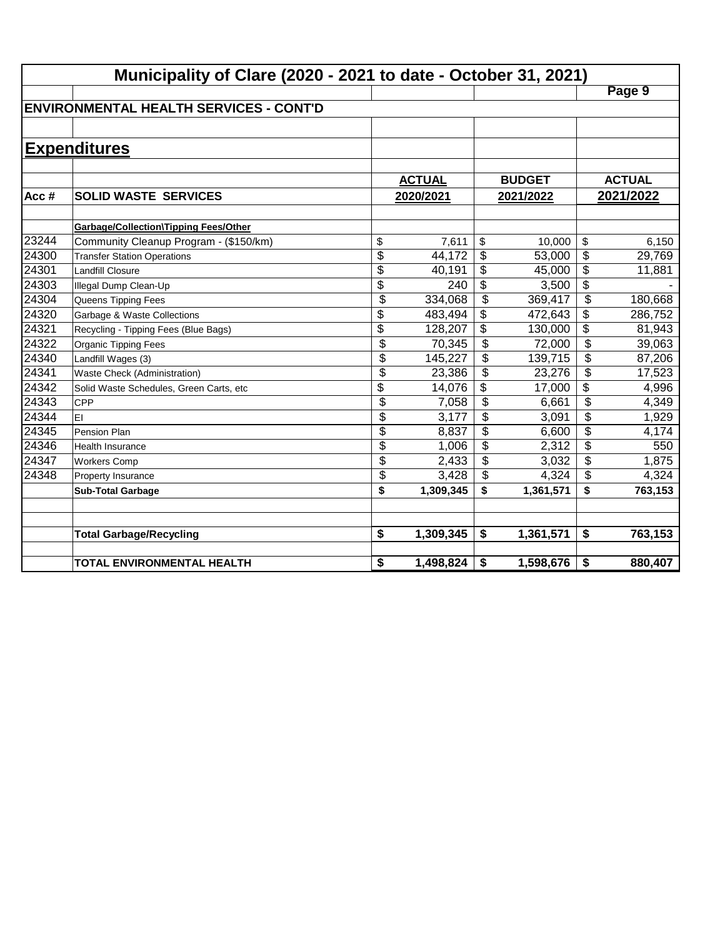|       | Municipality of Clare (2020 - 2021 to date - October 31, 2021) |                 |               |                          |               |                          |               |
|-------|----------------------------------------------------------------|-----------------|---------------|--------------------------|---------------|--------------------------|---------------|
|       |                                                                |                 |               |                          |               |                          | Page 9        |
|       | <b>IENVIRONMENTAL HEALTH SERVICES - CONT'D</b>                 |                 |               |                          |               |                          |               |
|       |                                                                |                 |               |                          |               |                          |               |
|       | <b>Expenditures</b>                                            |                 |               |                          |               |                          |               |
|       |                                                                |                 |               |                          |               |                          |               |
|       |                                                                |                 | <b>ACTUAL</b> |                          | <b>BUDGET</b> |                          | <b>ACTUAL</b> |
| Acc#  | <b>SOLID WASTE SERVICES</b>                                    |                 | 2020/2021     |                          | 2021/2022     |                          | 2021/2022     |
|       |                                                                |                 |               |                          |               |                          |               |
|       | <b>Garbage/Collection\Tipping Fees/Other</b>                   |                 |               |                          |               |                          |               |
| 23244 | Community Cleanup Program - (\$150/km)                         | \$              | 7,611         | \$                       | 10,000        | \$                       | 6,150         |
| 24300 | <b>Transfer Station Operations</b>                             | \$              | 44,172        | \$                       | 53,000        | \$                       | 29,769        |
| 24301 | <b>Landfill Closure</b>                                        | $\overline{\$}$ | 40,191        | \$                       | 45,000        | $\overline{\$}$          | 11,881        |
| 24303 | Illegal Dump Clean-Up                                          | \$              | 240           | \$                       | 3,500         | $\overline{\$}$          |               |
| 24304 | Queens Tipping Fees                                            | \$              | 334,068       | \$                       | 369,417       | $\overline{\mathcal{L}}$ | 180,668       |
| 24320 | Garbage & Waste Collections                                    | \$              | 483,494       | \$                       | 472,643       | \$                       | 286,752       |
| 24321 | Recycling - Tipping Fees (Blue Bags)                           | \$              | 128,207       | \$                       | 130,000       | $\overline{\mathcal{L}}$ | 81,943        |
| 24322 | Organic Tipping Fees                                           | $\overline{\$}$ | 70,345        | $\overline{\mathcal{L}}$ | 72,000        | $\overline{\mathcal{L}}$ | 39,063        |
| 24340 | Landfill Wages (3)                                             | \$              | 145,227       | \$                       | 139,715       | \$                       | 87,206        |
| 24341 | Waste Check (Administration)                                   | \$              | 23,386        | \$                       | 23,276        | \$                       | 17,523        |
| 24342 | Solid Waste Schedules, Green Carts, etc                        | \$              | 14,076        | \$                       | 17,000        | \$                       | 4,996         |
| 24343 | <b>CPP</b>                                                     | \$              | 7,058         | \$                       | 6,661         | \$                       | 4,349         |
| 24344 | İΕΙ                                                            | \$              | 3,177         | \$                       | 3,091         | \$                       | 1,929         |
| 24345 | <b>Pension Plan</b>                                            | \$              | 8,837         | \$                       | 6,600         | \$                       | 4,174         |
| 24346 | Health Insurance                                               | \$              | 1,006         | \$                       | 2,312         | \$                       | 550           |
| 24347 | <b>Workers Comp</b>                                            | \$              | 2,433         | \$                       | 3,032         | \$                       | 1,875         |
| 24348 | Property Insurance                                             | \$              | 3,428         | \$                       | 4,324         | \$                       | 4,324         |
|       | <b>Sub-Total Garbage</b>                                       | \$              | 1,309,345     | \$                       | 1,361,571     | \$                       | 763,153       |
|       |                                                                |                 |               |                          |               |                          |               |
|       | <b>Total Garbage/Recycling</b>                                 | \$              | 1,309,345     | \$                       | 1,361,571     | \$                       | 763,153       |
|       |                                                                |                 |               |                          |               |                          |               |
|       | TOTAL ENVIRONMENTAL HEALTH                                     | \$              | 1,498,824     | \$                       | 1,598,676     | \$                       | 880,407       |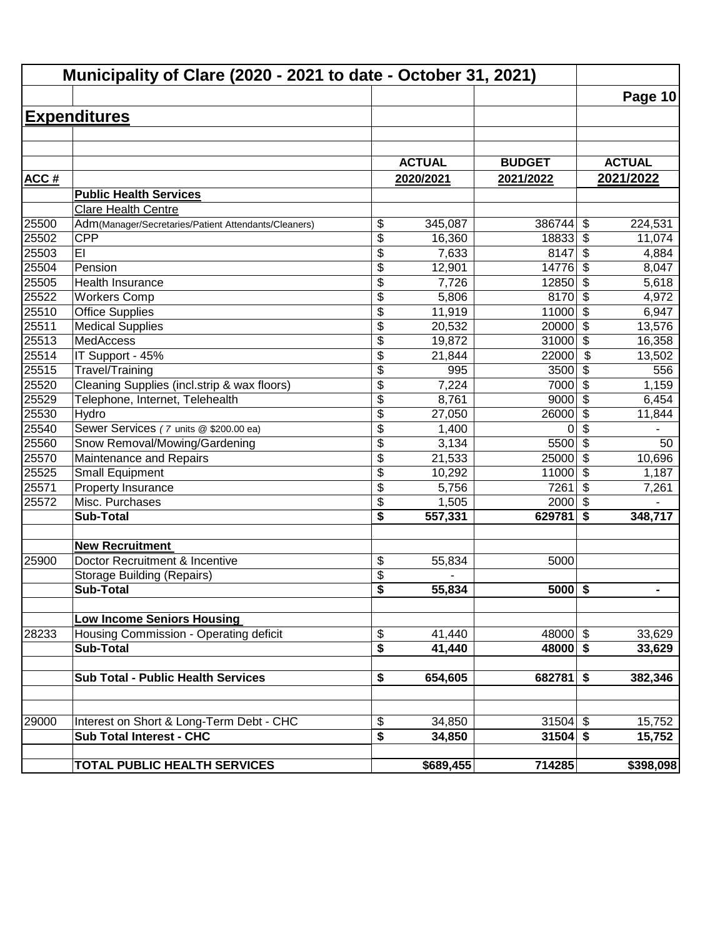|             | Municipality of Clare (2020 - 2021 to date - October 31, 2021) |                               |               |               |                                  |                |
|-------------|----------------------------------------------------------------|-------------------------------|---------------|---------------|----------------------------------|----------------|
|             |                                                                |                               |               |               |                                  | Page 10        |
|             | <b>Expenditures</b>                                            |                               |               |               |                                  |                |
|             |                                                                |                               |               |               |                                  |                |
|             |                                                                |                               |               |               |                                  |                |
|             |                                                                |                               | <b>ACTUAL</b> | <b>BUDGET</b> |                                  | <b>ACTUAL</b>  |
| <b>ACC#</b> |                                                                |                               | 2020/2021     | 2021/2022     |                                  | 2021/2022      |
|             | <b>Public Health Services</b>                                  |                               |               |               |                                  |                |
|             | <b>Clare Health Centre</b>                                     |                               |               |               |                                  |                |
| 25500       | Adm(Manager/Secretaries/Patient Attendants/Cleaners)           | \$                            | 345,087       | 386744        | \$                               | 224,531        |
| 25502       | <b>CPP</b>                                                     | \$                            | 16,360        | 18833         | $\boldsymbol{\theta}$            | 11,074         |
| 25503       | EI                                                             | \$                            | 7,633         | 8147          | \$                               | 4,884          |
| 25504       | Pension                                                        | \$                            | 12,901        | 14776         | $\overline{\boldsymbol{\theta}}$ | 8,047          |
| 25505       | Health Insurance                                               | \$                            | 7,726         | 12850         | $\overline{\$}$                  | 5,618          |
| 25522       | <b>Workers Comp</b>                                            | \$                            | 5,806         | 8170          | $\overline{\$}$                  | 4,972          |
| 25510       | <b>Office Supplies</b>                                         | $\overline{\$}$               | 11,919        | 11000         | $\overline{\mathcal{S}}$         | 6,947          |
| 25511       | <b>Medical Supplies</b>                                        | \$                            | 20,532        | 20000         | $\overline{\$}$                  | 13,576         |
| 25513       | <b>MedAccess</b>                                               | \$                            | 19,872        | 31000         | \$                               | 16,358         |
| 25514       | IT Support - 45%                                               | \$                            | 21,844        | 22000         | \$                               | 13,502         |
| 25515       | Travel/Training                                                | \$                            | 995           | 3500          | \$                               | 556            |
| 25520       | Cleaning Supplies (incl.strip & wax floors)                    | \$                            | 7,224         | 7000          | \$                               | 1,159          |
| 25529       | Telephone, Internet, Telehealth                                | \$                            | 8,761         | 9000          | $\boldsymbol{\mathsf{S}}$        | 6,454          |
| 25530       | Hydro                                                          | $\overline{\$}$               | 27,050        | 26000         | $\overline{\mathcal{S}}$         | 11,844         |
| 25540       | Sewer Services (7 units @ \$200.00 ea)                         | \$                            | 1,400         | 0             | \$                               |                |
| 25560       | Snow Removal/Mowing/Gardening                                  | \$                            | 3,134         | 5500          | $\overline{\mathcal{L}}$         | 50             |
| 25570       | Maintenance and Repairs                                        | \$                            | 21,533        | 25000         | \$                               | 10,696         |
| 25525       | Small Equipment                                                | \$                            | 10,292        | 11000         | \$                               | 1,187          |
| 25571       | Property Insurance                                             | \$                            | 5,756         | 7261          | \$                               | 7,261          |
| 25572       | Misc. Purchases                                                | \$                            | 1,505         | 2000          | $\overline{\mathbf{s}}$          |                |
|             | <b>Sub-Total</b>                                               | \$                            | 557,331       | 629781        | \$                               | 348,717        |
|             |                                                                |                               |               |               |                                  |                |
|             | <b>New Recruitment</b><br>Doctor Recruitment & Incentive       |                               |               |               |                                  |                |
| 25900       | <b>Storage Building (Repairs)</b>                              | \$                            | 55,834        | 5000          |                                  |                |
|             | <b>Sub-Total</b>                                               | \$<br>$\overline{\mathbf{s}}$ | 55,834        | $5000$ \$     |                                  | $\blacksquare$ |
|             |                                                                |                               |               |               |                                  |                |
|             | <b>Low Income Seniors Housing</b>                              |                               |               |               |                                  |                |
| 28233       | Housing Commission - Operating deficit                         | \$                            | 41,440        | $48000$ \$    |                                  | 33,629         |
|             | <b>Sub-Total</b>                                               | \$                            | 41,440        | $48000$ \$    |                                  | 33,629         |
|             |                                                                |                               |               |               |                                  |                |
|             | <b>Sub Total - Public Health Services</b>                      | \$                            | 654,605       | 682781        | $\overline{\bullet}$             | 382,346        |
|             |                                                                |                               |               |               |                                  |                |
| 29000       | Interest on Short & Long-Term Debt - CHC                       | \$                            | 34,850        | $31504$ \$    |                                  | 15,752         |
|             | <b>Sub Total Interest - CHC</b>                                | \$                            | 34,850        | 31504         | $\overline{\bullet}$             | 15,752         |
|             |                                                                |                               |               |               |                                  |                |
|             | <b>TOTAL PUBLIC HEALTH SERVICES</b>                            |                               | \$689,455     | 714285        |                                  | \$398,098      |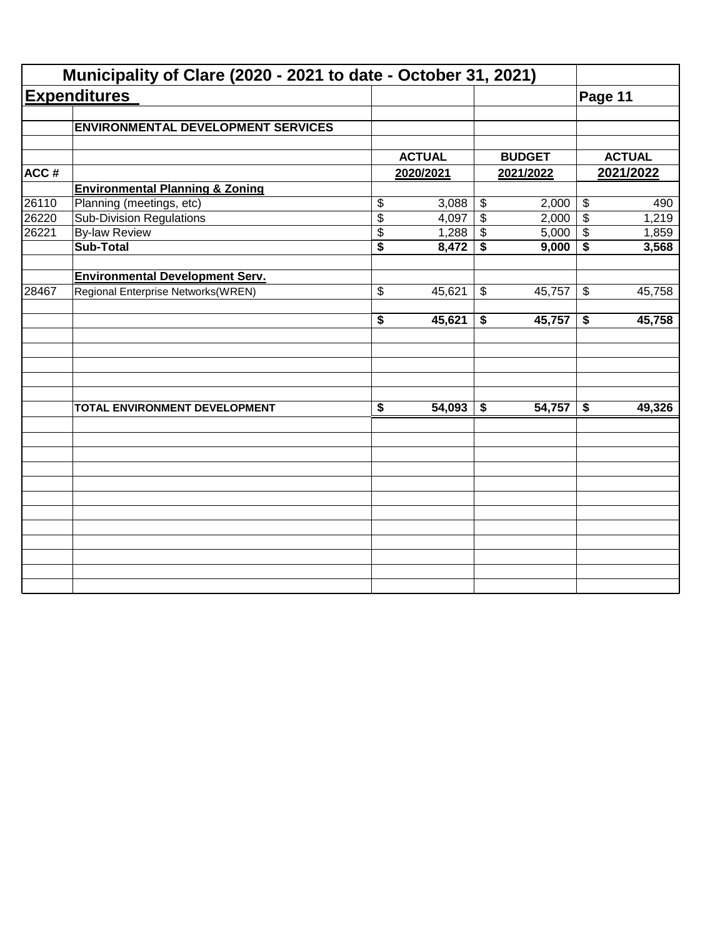| <b>Expenditures</b><br><b>ENVIRONMENTAL DEVELOPMENT SERVICES</b><br><b>Environmental Planning &amp; Zoning</b><br>Planning (meetings, etc)<br><b>Sub-Division Regulations</b><br><b>By-law Review</b><br><b>Sub-Total</b> | \$<br>$\overline{\$}$<br>\$<br>$\overline{\$}$ | <b>ACTUAL</b><br>2020/2021<br>3,088 | $\boldsymbol{\mathsf{\$}}$ | <b>BUDGET</b><br>2021/2022 | Page 11                    | <b>ACTUAL</b><br>2021/2022 |
|---------------------------------------------------------------------------------------------------------------------------------------------------------------------------------------------------------------------------|------------------------------------------------|-------------------------------------|----------------------------|----------------------------|----------------------------|----------------------------|
|                                                                                                                                                                                                                           |                                                |                                     |                            |                            |                            |                            |
|                                                                                                                                                                                                                           |                                                |                                     |                            |                            |                            |                            |
|                                                                                                                                                                                                                           |                                                |                                     |                            |                            |                            |                            |
|                                                                                                                                                                                                                           |                                                |                                     |                            |                            |                            |                            |
|                                                                                                                                                                                                                           |                                                |                                     |                            |                            |                            |                            |
|                                                                                                                                                                                                                           |                                                |                                     |                            | 2,000                      | $\boldsymbol{\mathsf{\$}}$ | 490                        |
|                                                                                                                                                                                                                           |                                                | 4,097                               | $\overline{\mathbf{e}}$    | 2,000                      | $\overline{\$}$            | 1,219                      |
|                                                                                                                                                                                                                           |                                                | 1,288                               | \$                         | 5,000                      | $\boldsymbol{\mathsf{\$}}$ | 1,859                      |
|                                                                                                                                                                                                                           |                                                | 8,472                               | \$                         | 9,000                      | \$                         | 3,568                      |
|                                                                                                                                                                                                                           |                                                |                                     |                            |                            |                            |                            |
| Regional Enterprise Networks(WREN)                                                                                                                                                                                        | \$                                             | 45,621                              | \$                         | 45,757                     | $\boldsymbol{\mathcal{F}}$ | 45,758                     |
|                                                                                                                                                                                                                           | $\overline{\boldsymbol{s}}$                    | 45,621                              | \$                         | 45,757                     | \$                         | 45,758                     |
|                                                                                                                                                                                                                           |                                                |                                     |                            |                            |                            |                            |
| TOTAL ENVIRONMENT DEVELOPMENT                                                                                                                                                                                             | $\overline{\boldsymbol{\mathsf{s}}}$           | 54,093                              | \$                         | 54,757                     | \$                         | 49,326                     |
|                                                                                                                                                                                                                           |                                                |                                     |                            |                            |                            |                            |
|                                                                                                                                                                                                                           |                                                |                                     |                            |                            |                            |                            |
|                                                                                                                                                                                                                           |                                                |                                     |                            |                            |                            |                            |
|                                                                                                                                                                                                                           |                                                |                                     |                            |                            |                            |                            |
|                                                                                                                                                                                                                           |                                                |                                     |                            |                            |                            |                            |
|                                                                                                                                                                                                                           |                                                |                                     |                            |                            |                            |                            |
|                                                                                                                                                                                                                           | <b>Environmental Development Serv.</b>         |                                     |                            |                            |                            |                            |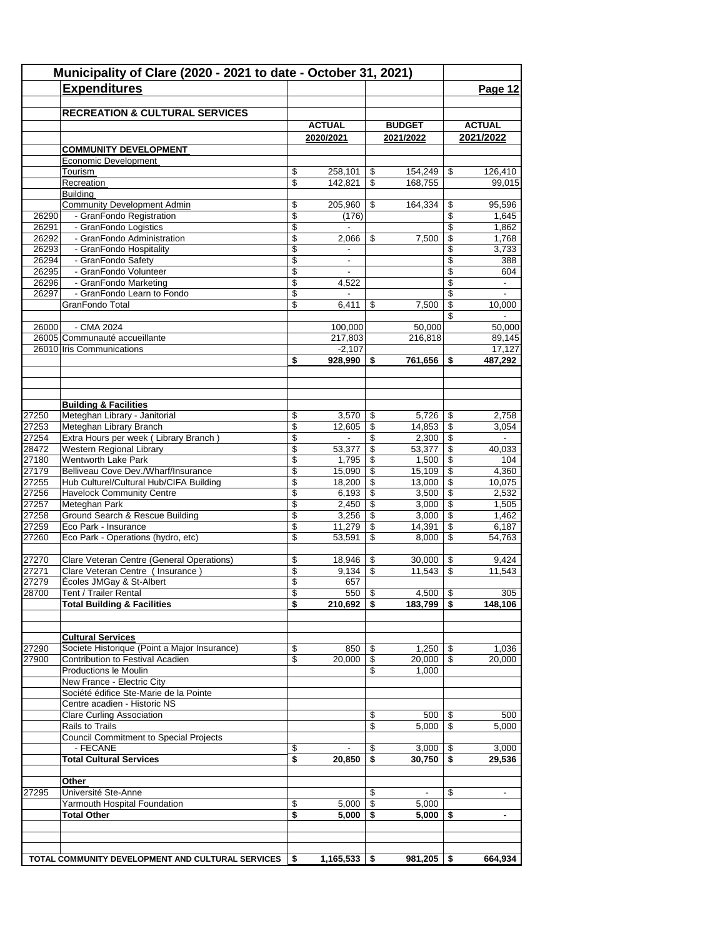|                | Municipality of Clare (2020 - 2021 to date - October 31, 2021)<br><b>Expenditures</b> |                          |                              |            |                 |                           | Page 12                  |
|----------------|---------------------------------------------------------------------------------------|--------------------------|------------------------------|------------|-----------------|---------------------------|--------------------------|
|                |                                                                                       |                          |                              |            |                 |                           |                          |
|                | <b>RECREATION &amp; CULTURAL SERVICES</b>                                             |                          |                              |            |                 |                           |                          |
|                |                                                                                       |                          | <b>ACTUAL</b>                |            | <b>BUDGET</b>   |                           | <b>ACTUAL</b>            |
|                | <b>COMMUNITY DEVELOPMENT</b>                                                          |                          | 2020/2021                    |            | 2021/2022       |                           | 2021/2022                |
|                | Economic Development                                                                  |                          |                              |            |                 |                           |                          |
|                | Tourism                                                                               | \$                       | 258,101                      | \$         | 154,249         | \$                        | 126,410                  |
|                | Recreation                                                                            | \$                       | 142,821                      | \$         | 168.755         |                           | 99,015                   |
|                | <b>Building</b>                                                                       |                          |                              |            |                 |                           |                          |
|                | <b>Community Development Admin</b>                                                    | \$                       | 205,960                      | \$         | 164,334         | \$                        | 95.596                   |
| 26290          | - GranFondo Registration                                                              | \$                       | (176)<br>$\blacksquare$      |            |                 | \$                        | 1,645                    |
| 26291<br>26292 | - GranFondo Logistics<br>- GranFondo Administration                                   | \$<br>\$                 | 2,066                        | \$         | 7,500           | \$<br>\$                  | 1,862<br>1,768           |
| 26293          | - GranFondo Hospitality                                                               | \$                       |                              |            |                 | \$                        | 3,733                    |
| 26294          | - GranFondo Safety                                                                    | \$                       | $\overline{\phantom{a}}$     |            |                 | \$                        | 388                      |
| 26295          | - GranFondo Volunteer                                                                 | \$                       |                              |            |                 | \$                        | 604                      |
| 26296          | - GranFondo Marketing                                                                 | \$                       | 4,522                        |            |                 | \$                        | $\overline{\phantom{a}}$ |
| 26297          | - GranFondo Learn to Fondo                                                            | \$                       | $\overline{\phantom{a}}$     |            |                 | \$                        |                          |
|                | GranFondo Total                                                                       | \$                       | 6,411                        | \$         | 7,500           | \$                        | 10,000                   |
| 26000          | - CMA 2024                                                                            |                          | 100,000                      |            | 50,000          | \$                        | 50,000                   |
|                | 26005 Communauté accueillante                                                         |                          | 217,803                      |            | 216,818         |                           | 89,145                   |
|                | 26010 Iris Communications                                                             |                          | $-2,107$                     |            |                 |                           | 17,127                   |
|                |                                                                                       | \$                       | 928,990                      | \$         | 761,656         | \$                        | 487,292                  |
|                |                                                                                       |                          |                              |            |                 |                           |                          |
|                |                                                                                       |                          |                              |            |                 |                           |                          |
|                |                                                                                       |                          |                              |            |                 |                           |                          |
| 27250          | <b>Building &amp; Facilities</b><br>Meteghan Library - Janitorial                     | \$                       | 3,570                        | \$         | 5,726           | -\$                       | 2,758                    |
| 27253          | Meteghan Library Branch                                                               | $\overline{\mathcal{L}}$ | 12,605                       | \$         | 14,853          | $\overline{\mathcal{S}}$  | 3,054                    |
| 27254          | Extra Hours per week (Library Branch)                                                 | $\overline{\mathcal{S}}$ | $\overline{\phantom{a}}$     | \$         |                 |                           |                          |
| 28472          | Western Regional Library                                                              | \$                       | 53,377                       | \$         | 53,377          | \$                        | 40,033                   |
| 27180          | Wentworth Lake Park                                                                   | \$                       | 1,795                        | \$         | 1,500           | \$                        | 104                      |
| 27179          | Belliveau Cove Dev./Wharf/Insurance                                                   | \$                       | 15,090                       | \$         | 15,109          | $\sqrt[6]{3}$             | 4,360                    |
| 27255          | Hub Culturel/Cultural Hub/CIFA Building                                               | \$                       | 18,200                       | \$         | 13,000          | $\sqrt[6]{3}$             | 10,075                   |
| 27256          | <b>Havelock Community Centre</b>                                                      | \$                       | 6,193                        | \$         | 3,500           | $\sqrt{3}$                | 2,532                    |
| 27257<br>27258 | Meteghan Park<br>Ground Search & Rescue Building                                      | \$<br>\$                 | 2,450                        | \$<br>\$   | 3,000           | $\mathfrak{s}$<br>\$      | 1,505                    |
| 27259          | Eco Park - Insurance                                                                  | \$                       | 3,256<br>11,279              | \$         | 3,000<br>14,391 | $\mathfrak s$             | 1,462<br>6,187           |
| 27260          | Eco Park - Operations (hydro, etc)                                                    | \$                       | 53,591                       | \$         | 8,000           | \$                        | 54,763                   |
|                |                                                                                       |                          |                              |            |                 |                           |                          |
| 27270          | Clare Veteran Centre (General Operations)                                             | \$                       | 18,946                       | \$         | 30,000          | \$                        | 9,424                    |
| 27271          | Clare Veteran Centre ( Insurance )                                                    | \$                       | 9,134                        | \$         | 11,543          | $\boldsymbol{\mathsf{S}}$ | 11,543                   |
| 27279          | Écoles JMGay & St-Albert                                                              | \$                       | 657                          |            |                 |                           |                          |
| 28700          | Tent / Trailer Rental<br><b>Total Building &amp; Facilities</b>                       | \$<br>\$                 | $550$ \ \$<br>$210,692$   \$ |            | $4,500$ \$      |                           | 305<br>148,106           |
|                |                                                                                       |                          |                              |            | $183,799$   \$  |                           |                          |
|                |                                                                                       |                          |                              |            |                 |                           |                          |
|                | <b>Cultural Services</b>                                                              |                          |                              |            |                 |                           |                          |
| 27290          | Societe Historique (Point a Major Insurance)                                          | \$                       | 850                          | \$         | $1,250$   \$    |                           | 1,036                    |
| 27900          | Contribution to Festival Acadien                                                      | \$                       | 20,000                       | \$         | $20,000$ \ \$   |                           | 20,000                   |
|                | Productions le Moulin<br>New France - Electric City                                   |                          |                              | \$         | 1,000           |                           |                          |
|                | Société édifice Ste-Marie de la Pointe                                                |                          |                              |            |                 |                           |                          |
|                | Centre acadien - Historic NS                                                          |                          |                              |            |                 |                           |                          |
|                | <b>Clare Curling Association</b>                                                      |                          |                              | \$         | $500$   \$      |                           | 500                      |
|                | Rails to Trails                                                                       |                          |                              | \$         | 5,000           | $\overline{\mathcal{S}}$  | 5,000                    |
|                | <b>Council Commitment to Special Projects</b>                                         |                          |                              |            |                 |                           |                          |
|                | - FECANE                                                                              | \$                       |                              | \$         | $3,000$   \$    |                           | 3,000                    |
|                | <b>Total Cultural Services</b>                                                        | \$                       | 20,850                       | \$         | $30,750$ \$     |                           | 29,536                   |
|                |                                                                                       |                          |                              |            |                 |                           |                          |
| 27295          | Other<br>Université Ste-Anne                                                          |                          |                              | \$         |                 | \$                        |                          |
|                | Yarmouth Hospital Foundation                                                          | \$                       | 5,000                        | $\sqrt{3}$ | 5,000           |                           |                          |
|                | <b>Total Other</b>                                                                    | \$                       | 5,000                        | -\$        | 5,000           | -\$                       | $\blacksquare$           |
|                |                                                                                       |                          |                              |            |                 |                           |                          |
|                |                                                                                       |                          |                              |            |                 |                           |                          |
|                |                                                                                       |                          |                              |            |                 |                           |                          |
|                | TOTAL COMMUNITY DEVELOPMENT AND CULTURAL SERVICES                                     | \$                       | $1,165,533$   \$             |            | $981,205$ \$    |                           | 664,934                  |